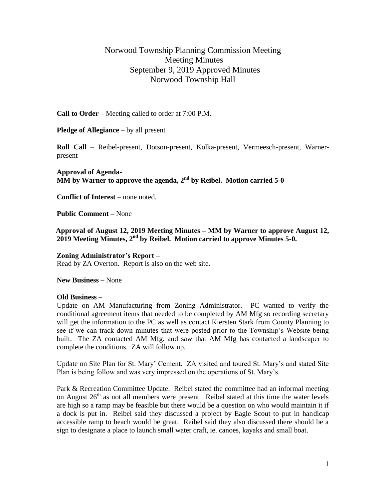## Norwood Township Planning Commission Meeting Meeting Minutes September 9, 2019 Approved Minutes Norwood Township Hall

**Call to Order** – Meeting called to order at 7:00 P.M.

**Pledge of Allegiance** – by all present

**Roll Call** – Reibel-present, Dotson-present, Kolka-present, Vermeesch-present, Warnerpresent

**Approval of Agenda-** $\overline{\text{MM}}$  by Warner to approve the agenda, 2<sup>nd</sup> by Reibel. Motion carried 5-0

**Conflict of Interest** – none noted.

**Public Comment –** None

 **Approval of August 12, 2019 Meeting Minutes – MM by Warner to approve August 12, 2019 Meeting Minutes, 2nd by Reibel. Motion carried to approve Minutes 5-0.**

## **Zoning Administrator's Report –**

Read by ZA Overton. Report is also on the web site.

**New Business –** None

## **Old Business –**

Update on AM Manufacturing from Zoning Administrator. PC wanted to verify the conditional agreement items that needed to be completed by AM Mfg so recording secretary will get the information to the PC as well as contact Kiersten Stark from County Planning to see if we can track down minutes that were posted prior to the Township's Website being built. The ZA contacted AM Mfg. and saw that AM Mfg has contacted a landscaper to complete the conditions. ZA will follow up.

Update on Site Plan for St. Mary' Cement. ZA visited and toured St. Mary's and stated Site Plan is being follow and was very impressed on the operations of St. Mary's.

Park & Recreation Committee Update. Reibel stated the committee had an informal meeting on August  $26<sup>th</sup>$  as not all members were present. Reibel stated at this time the water levels are high so a ramp may be feasible but there would be a question on who would maintain it if a dock is put in. Reibel said they discussed a project by Eagle Scout to put in handicap accessible ramp to beach would be great. Reibel said they also discussed there should be a sign to designate a place to launch small water craft, ie. canoes, kayaks and small boat.